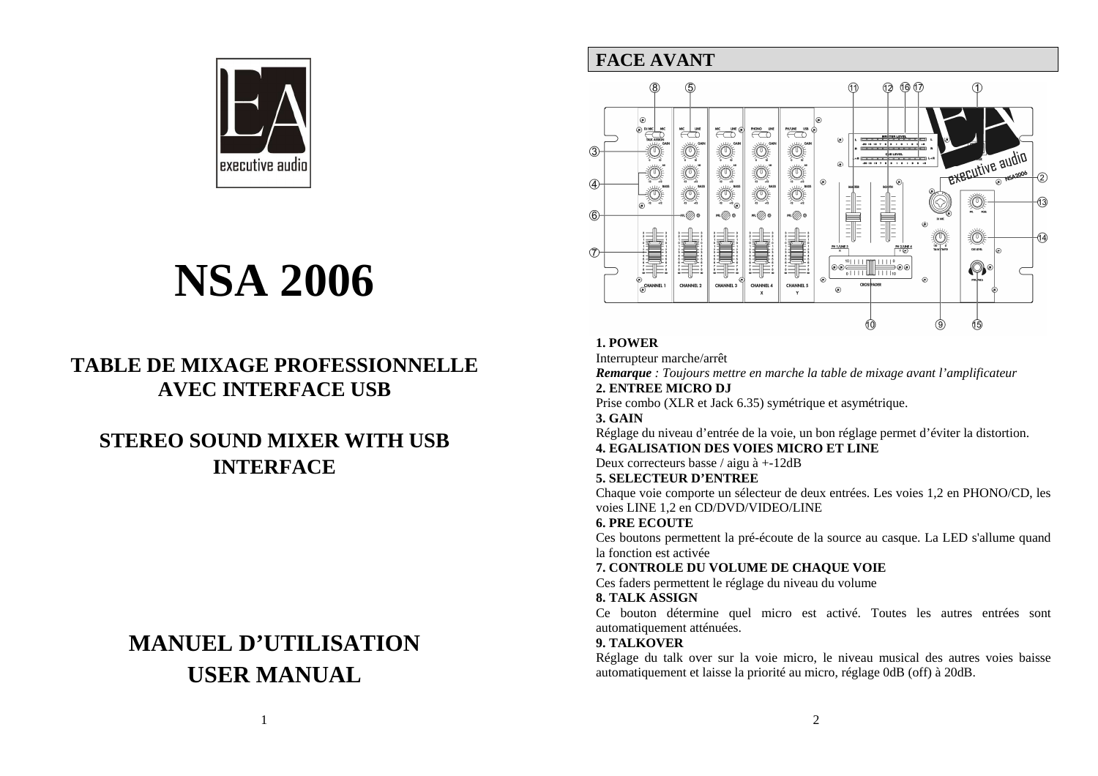

# **NSA 2006**

# **TABLE DE MIXAGE PROFESSIONNELLE AVEC INTERFACE USB**

# **STEREO SOUND MIXER WITH USB INTERFACE**

# **MANUEL D'UTILISATIONUSER MANUAL**

### **FACE AVANT**



### **1. POWER**

Interrupteur marche/arrêt

 *Remarque : Toujours mettre en marche la table de mixage avant l'amplificateur* **2. ENTREE MICRO DJ** 

Prise combo (XLR et Jack 6.35) symétrique et asymétrique.

#### **3. GAIN**

 Réglage du niveau d'entrée de la voie, un bon réglage permet d'éviter la distortion. **4. EGALISATION DES VOIES MICRO ET LINE** 

Deux correcteurs basse / aigu à +-12dB

#### **5. SELECTEUR D'ENTREE**

 Chaque voie comporte un sélecteur de deux entrées. Les voies 1,2 en PHONO/CD, les voies LINE 1,2 en CD/DVD/VIDEO/LINE

#### **6. PRE ECOUTE**

 Ces boutons permettent la pré-écoute de la source au casque. La LED s'allume quand la fonction est activée

#### **7. CONTROLE DU VOLUME DE CHAQUE VOIE**

Ces faders permettent le réglage du niveau du volume

#### **8. TALK ASSIGN**

 Ce bouton détermine quel micro est activé. Toutes les autres entrées sont automatiquement atténuées.

#### **9. TALKOVER**

Réglage du talk over sur la voie micro, le niveau musical des autres voies baisse automatiquement et laisse la priorité au micro, réglage 0dB (off) à 20dB.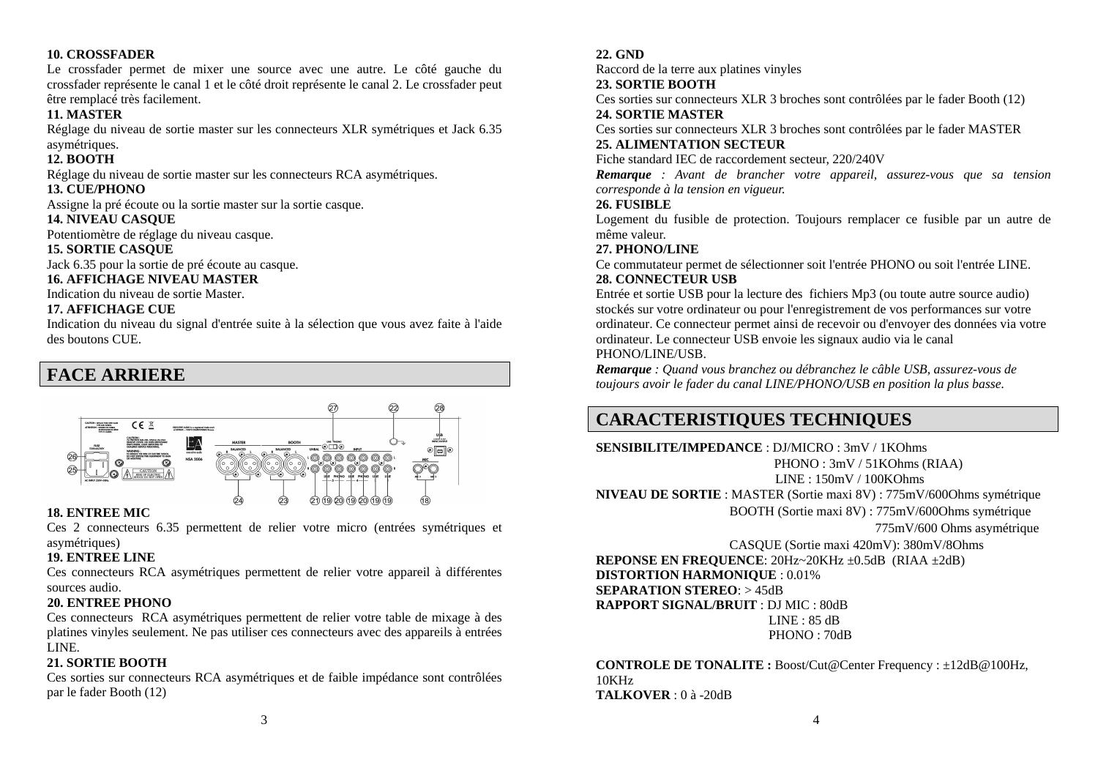#### **10. CROSSFADER**

Le crossfader permet de mixer une source avec une autre. Le côté gauche du crossfader représente le canal 1 et le côté droit représente le canal 2. Le crossfader peut être remplacé très facilement.

#### **11. MASTER**

 Réglage du niveau de sortie master sur les connecteurs XLR symétriques et Jack 6.35 asymétriques.

#### **12. BOOTH**

Réglage du niveau de sortie master sur les connecteurs RCA asymétriques.

#### **13. CUE/PHONO**

Assigne la pré écoute ou la sortie master sur la sortie casque.

#### **14. NIVEAU CASQUE**

Potentiomètre de réglage du niveau casque.

#### **15. SORTIE CASQUE**

Jack 6.35 pour la sortie de pré écoute au casque.

#### **16. AFFICHAGE NIVEAU MASTER**

Indication du niveau de sortie Master.

#### **17. AFFICHAGE CUE**

 Indication du niveau du signal d'entrée suite à la sélection que vous avez faite à l'aide des boutons CUE.

### **FACE ARRIERE**



#### **18. ENTREE MIC**

 Ces 2 connecteurs 6.35 permettent de relier votre micro (entrées symétriques et asymétriques)

#### **19. ENTREE LINE**

 Ces connecteurs RCA asymétriques permettent de relier votre appareil à différentes sources audio.

#### **20. ENTREE PHONO**

 Ces connecteurs RCA asymétriques permettent de relier votre table de mixage à des platines vinyles seulement. Ne pas utiliser ces connecteurs avec des appareils à entrées LINE.

#### **21. SORTIE BOOTH**

Ces sorties sur connecteurs RCA asymétriques et de faible impédance sont contrôlées par le fader Booth (12)

#### **22. GND**

Raccord de la terre aux platines vinyles

#### **23. SORTIE BOOTH**

 Ces sorties sur connecteurs XLR 3 broches sont contrôlées par le fader Booth (12) **24. SORTIE MASTER** 

 Ces sorties sur connecteurs XLR 3 broches sont contrôlées par le fader MASTER **25. ALIMENTATION SECTEUR** 

#### Fiche standard IEC de raccordement secteur, 220/240V

 *Remarque : Avant de brancher votre appareil, assurez-vous que sa tension corresponde à la tension en vigueur.* 

#### **26. FUSIBLE**

 Logement du fusible de protection. Toujours remplacer ce fusible par un autre de même valeur.

#### **27. PHONO/LINE**

 Ce commutateur permet de sélectionner soit l'entrée PHONO ou soit l'entrée LINE. **28. CONNECTEUR USB** 

 Entrée et sortie USB pour la lecture des fichiers Mp3 (ou toute autre source audio) stockés sur votre ordinateur ou pour l'enregistrement de vos performances sur votre ordinateur. Ce connecteur permet ainsi de recevoir ou d'envoyer des données via votre ordinateur. Le connecteur USB envoie les signaux audio via le canal PHONO/LINE/USB.

 *Remarque : Quand vous branchez ou débranchez le câble USB, assurez-vous de toujours avoir le fader du canal LINE/PHONO/USB en position la plus basse.*

## **CARACTERISTIQUES TECHNIQUES**

**SENSIBILITE/IMPEDANCE** : DJ/MICRO : 3mV / 1KOhms PHONO : 3mV / 51KOhms (RIAA) LINE : 150mV / 100KOhms **NIVEAU DE SORTIE** : MASTER (Sortie maxi 8V) : 775mV/600Ohms symétrique BOOTH (Sortie maxi 8V) : 775mV/600Ohms symétrique 775mV/600 Ohms asymétrique

 CASQUE (Sortie maxi 420mV): 380mV/8Ohms **REPONSE EN FREQUENCE**: 20Hz~20KHz ±0.5dB (RIAA ±2dB) **DISTORTION HARMONIQUE** : 0.01% **SEPARATION STEREO**: > 45dB **RAPPORT SIGNAL/BRUIT** : DJ MIC : 80dB LINE : 85 dB PHONO : 70dB

**CONTROLE DE TONALITE :** Boost/Cut@Center Frequency : ±12dB@100Hz, 10KHz**TALKOVER** : 0 à -20dB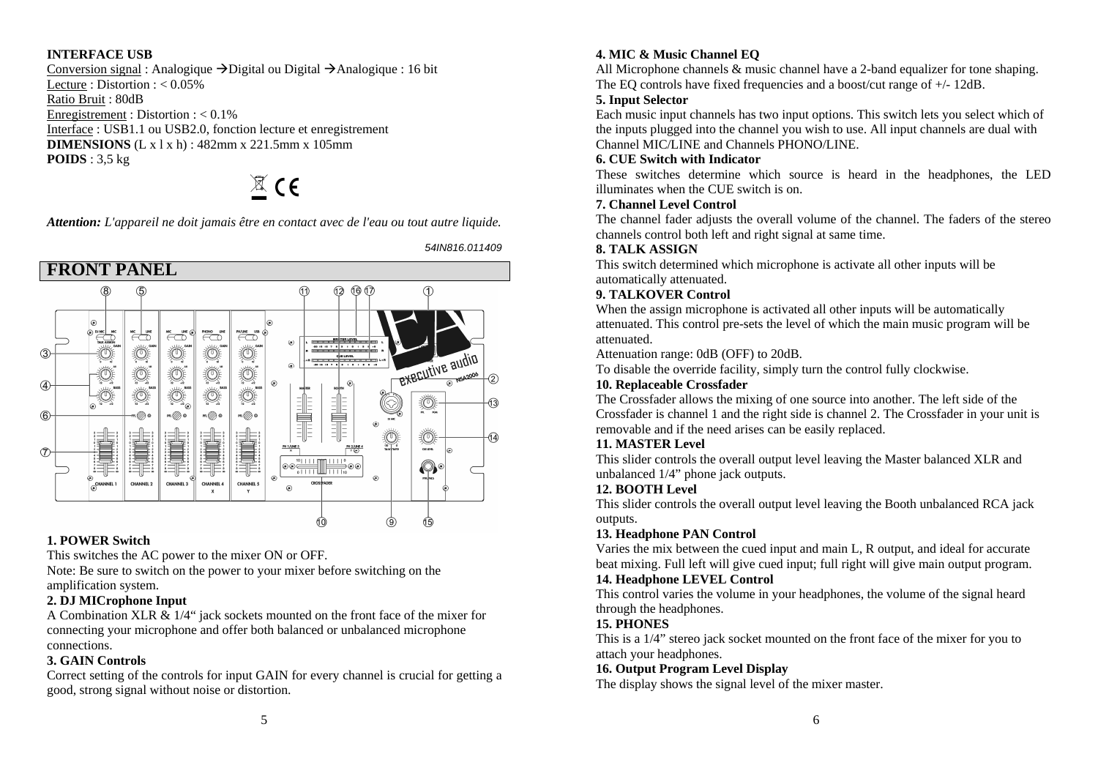#### **INTERFACE USB**

Conversion signal : Analogique  $\rightarrow$  Digital ou Digital  $\rightarrow$  Analogique : 16 bit Lecture : Distortion : < 0.05% Ratio Bruit : 80dB Enregistrement: Distortion : < 0.1% Interface : USB1.1 ou USB2.0, fonction lecture et enregistrement **DIMENSIONS** (L x l x h) : 482mm x 221.5mm x 105mm **POIDS** : 3,5 kg

 $\mathbb{Z}$  CE

*Attention: L'appareil ne doit jamais être en contact avec de l'eau ou tout autre liquide.* 

54IN816.011409



#### **1. POWER Switch**

This switches the AC power to the mixer ON or OFF.

 Note: Be sure to switch on the power to your mixer before switching on the amplification system.

#### **2. DJ MICrophone Input**

 A Combination XLR & 1/4" jack sockets mounted on the front face of the mixer for connecting your microphone and offer both balanced or unbalanced microphone connections.

#### **3. GAIN Controls**

 Correct setting of the controls for input GAIN for every channel is crucial for getting a good, strong signal without noise or distortion.

#### **4. MIC & Music Channel EQ**

All Microphone channels & music channel have a 2-band equalizer for tone shaping. The EQ controls have fixed frequencies and a boost/cut range of +/- 12dB.

#### **5. Input Selector**

 Each music input channels has two input options. This switch lets you select which of the inputs plugged into the channel you wish to use. All input channels are dual with Channel MIC/LINE and Channels PHONO/LINE.

#### **6. CUE Switch with Indicator**

 These switches determine which source is heard in the headphones, the LED illuminates when the CUE switch is on.

#### **7. Channel Level Control**

 The channel fader adjusts the overall volume of the channel. The faders of the stereo channels control both left and right signal at same time.

#### **8. TALK ASSIGN**

 This switch determined which microphone is activate all other inputs will be automatically attenuated.

#### **9. TALKOVER Control**

 When the assign microphone is activated all other inputs will be automatically attenuated. This control pre-sets the level of which the main music program will be attenuated.

Attenuation range: 0dB (OFF) to 20dB.

To disable the override facility, simply turn the control fully clockwise.

#### **10. Replaceable Crossfader**

 The Crossfader allows the mixing of one source into another. The left side of the Crossfader is channel 1 and the right side is channel 2. The Crossfader in your unit is removable and if the need arises can be easily replaced.

#### **11. MASTER Level**

 This slider controls the overall output level leaving the Master balanced XLR and unbalanced 1/4" phone jack outputs.

#### **12. BOOTH Level**

 This slider controls the overall output level leaving the Booth unbalanced RCA jack outputs.

#### **13. Headphone PAN Control**

 Varies the mix between the cued input and main L, R output, and ideal for accurate beat mixing. Full left will give cued input; full right will give main output program. **14. Headphone LEVEL Control** 

 This control varies the volume in your headphones, the volume of the signal heard through the headphones.

#### **15. PHONES**

 This is a 1/4" stereo jack socket mounted on the front face of the mixer for you to attach your headphones.

#### **16. Output Program Level Display**

The display shows the signal level of the mixer master.